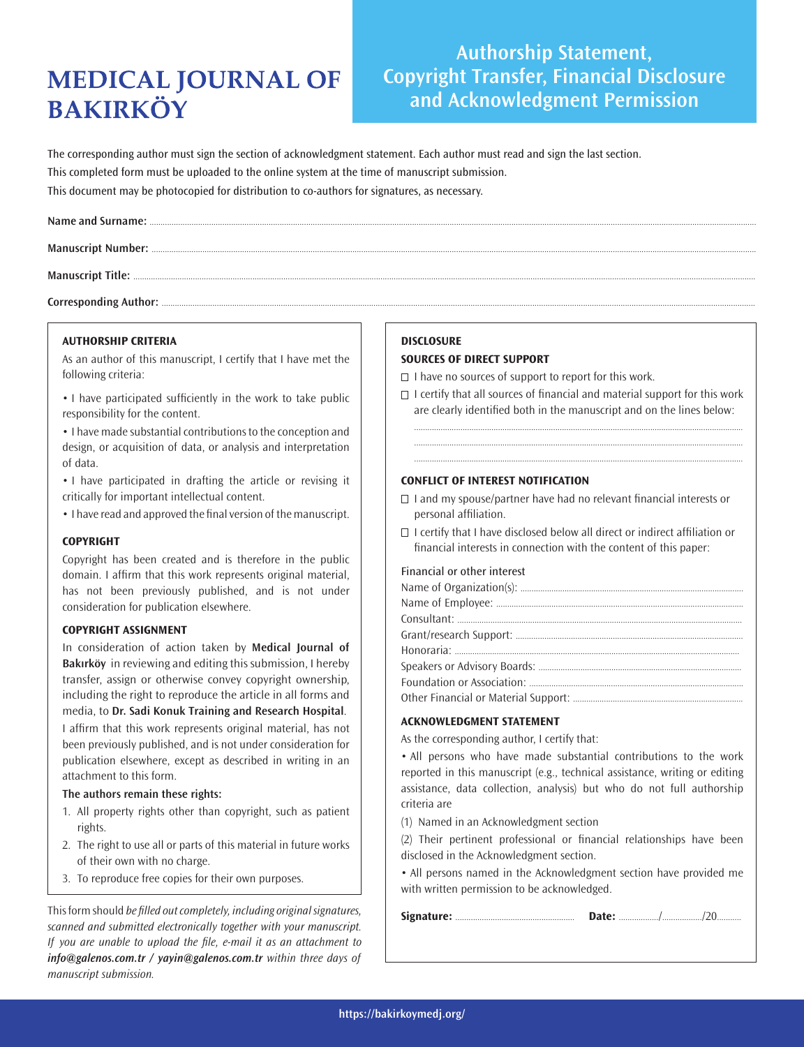# **MEDICAL JOURNAL OF BAKIRKÖY**

## **Authorship Statement, Copyright Transfer, Financial Disclosure and Acknowledgment Permission**

The corresponding author must sign the section of acknowledgment statement. Each author must read and sign the last section. This completed form must be uploaded to the online system at the time of manuscript submission. This document may be photocopied for distribution to co-authors for signatures, as necessary.

Corresponding Author: ......

#### **AUTHORSHIP CRITERIA**

As an author of this manuscript, I certify that I have met the following criteria:

• I have participated sufficiently in the work to take public responsibility for the content.

• I have made substantial contributions to the conception and design, or acquisition of data, or analysis and interpretation of data.

• I have participated in drafting the article or revising it critically for important intellectual content.

• I have read and approved the final version of the manuscript.

#### **COPYRIGHT**

Copyright has been created and is therefore in the public domain. I affirm that this work represents original material, has not been previously published, and is not under consideration for publication elsewhere.

#### **COPYRIGHT ASSIGNMENT**

In consideration of action taken by **Medical Journal of Bakırköy** in reviewing and editing this submission, I hereby transfer, assign or otherwise convey copyright ownership, including the right to reproduce the article in all forms and media, to **Dr. Sadi Konuk Training and Research Hospital**. I affirm that this work represents original material, has not

been previously published, and is not under consideration for publication elsewhere, except as described in writing in an attachment to this form.

### **The authors remain these rights:**

- 1. All property rights other than copyright, such as patient rights.
- 2. The right to use all or parts of this material in future works of their own with no charge.
- 3. To reproduce free copies for their own purposes.

This form should *be filled out completely, including original signatures,* scanned and submitted electronically together with your manuscript. If you are unable to upload the file, e-mail it as an attachment to *info@galenos.com.tr / yayin@galenos.com.tr* within three days of manuscript submission.

### **DISCLOSURE**

#### **SOURCES OF DIRECT SUPPORT**

 $\Box$  I have no sources of support to report for this work.

 $\Box$  I certify that all sources of financial and material support for this work are clearly identified both in the manuscript and on the lines below:

..................................................................................................................................................... ..................................................................................................................................................... .....................................................................................................................................................

### **CONFLICT OF INTEREST NOTIFICATION**

- $\Box$  I and my spouse/partner have had no relevant financial interests or personal affiliation.
- $\Box$  I certify that I have disclosed below all direct or indirect affiliation or financial interests in connection with the content of this paper:

#### Financial or other interest

### **ACKNOWLEDGMENT STATEMENT**

As the corresponding author, I certify that:

• All persons who have made substantial contributions to the work reported in this manuscript (e.g., technical assistance, writing or editing assistance, data collection, analysis) but who do not full authorship criteria are

(1) Named in an Acknowledgment section

(2) Their pertinent professional or financial relationships have been disclosed in the Acknowledgment section.

• All persons named in the Acknowledgment section have provided me with written permission to be acknowledged.

| Date: |
|-------|
|-------|